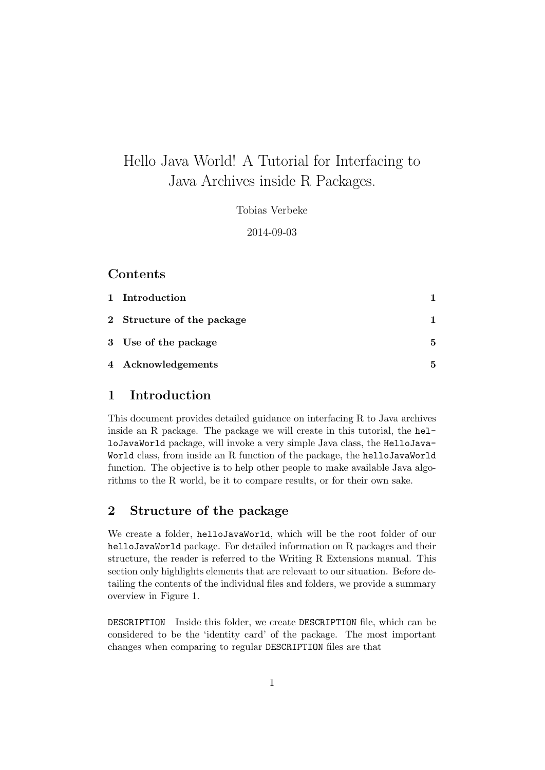# Hello Java World! A Tutorial for Interfacing to Java Archives inside R Packages.

Tobias Verbeke

2014-09-03

## Contents

| 1 Introduction             |   |
|----------------------------|---|
| 2 Structure of the package |   |
| 3 Use of the package       | 5 |
| 4 Acknowledgements         | 5 |

# 1 Introduction

This document provides detailed guidance on interfacing R to Java archives inside an R package. The package we will create in this tutorial, the helloJavaWorld package, will invoke a very simple Java class, the HelloJava-World class, from inside an R function of the package, the helloJavaWorld function. The objective is to help other people to make available Java algorithms to the R world, be it to compare results, or for their own sake.

# 2 Structure of the package

We create a folder, helloJavaWorld, which will be the root folder of our helloJavaWorld package. For detailed information on R packages and their structure, the reader is referred to the Writing R Extensions manual. This section only highlights elements that are relevant to our situation. Before detailing the contents of the individual files and folders, we provide a summary overview in Figure 1.

DESCRIPTION Inside this folder, we create DESCRIPTION file, which can be considered to be the 'identity card' of the package. The most important changes when comparing to regular DESCRIPTION files are that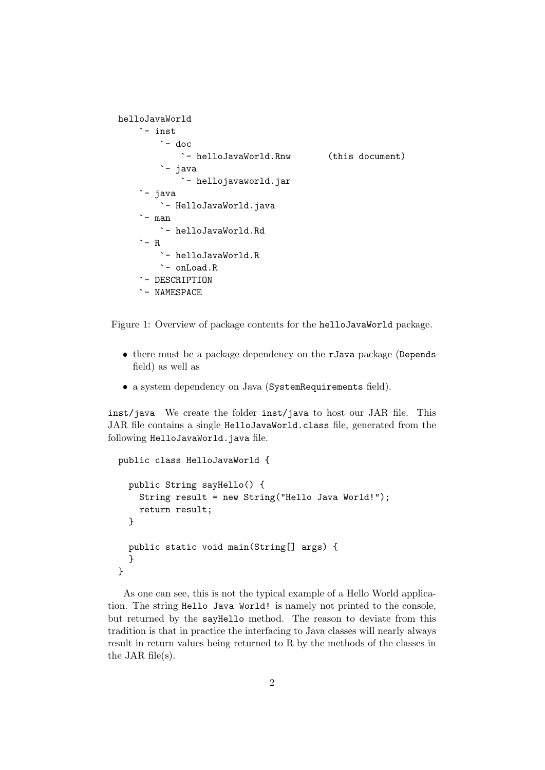```
helloJavaWorld
`- inst
`- doc
`- helloJavaWorld.Rnw (this document)
        `- java
            - hellojavaworld.jar
     - java
`- HelloJavaWorld.java
     - man
``- helloJavaWorld.Rd
    \degree - R
        - helloJavaWorld.R
        - onLoad.R
    - DESCRIPTION
    - NAMESPACE
```


- there must be a package dependency on the rJava package (Depends field) as well as
- a system dependency on Java (SystemRequirements field).

inst/java We create the folder inst/java to host our JAR file. This JAR file contains a single HelloJavaWorld.class file, generated from the following HelloJavaWorld.java file.

```
public class HelloJavaWorld {
 public String sayHello() {
    String result = new String("Hello Java World!");
    return result;
  }
 public static void main(String[] args) {
  }
}
```
As one can see, this is not the typical example of a Hello World application. The string Hello Java World! is namely not printed to the console, but returned by the sayHello method. The reason to deviate from this tradition is that in practice the interfacing to Java classes will nearly always result in return values being returned to R by the methods of the classes in the JAR file(s).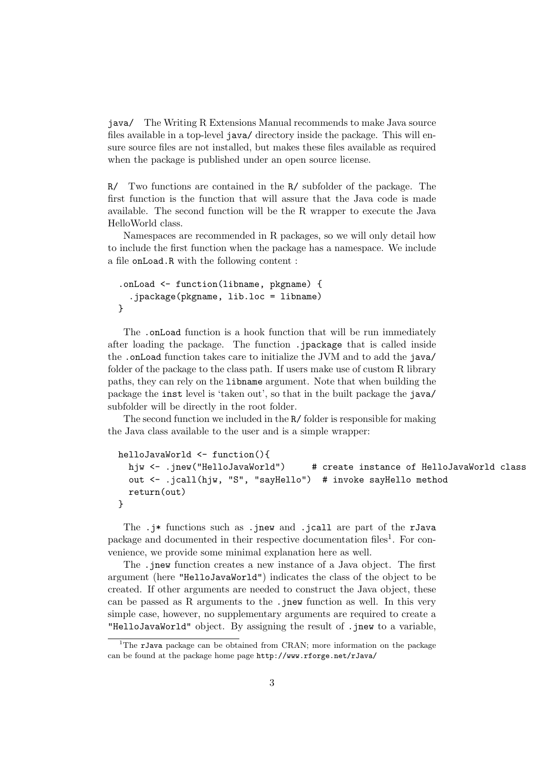java/ The Writing R Extensions Manual recommends to make Java source files available in a top-level java/ directory inside the package. This will ensure source files are not installed, but makes these files available as required when the package is published under an open source license.

R/ Two functions are contained in the R/ subfolder of the package. The first function is the function that will assure that the Java code is made available. The second function will be the R wrapper to execute the Java HelloWorld class.

Namespaces are recommended in R packages, so we will only detail how to include the first function when the package has a namespace. We include a file onLoad.R with the following content :

```
.onLoad <- function(libname, pkgname) {
  .jpackage(pkgname, lib.loc = libname)
}
```
The .onLoad function is a hook function that will be run immediately after loading the package. The function .jpackage that is called inside the .onLoad function takes care to initialize the JVM and to add the java/ folder of the package to the class path. If users make use of custom R library paths, they can rely on the libname argument. Note that when building the package the inst level is 'taken out', so that in the built package the java/ subfolder will be directly in the root folder.

The second function we included in the R/ folder is responsible for making the Java class available to the user and is a simple wrapper:

```
helloJavaWorld <- function(){
 hjw <- .jnew("HelloJavaWorld")   # create instance of HelloJavaWorld class
  out <- .jcall(hjw, "S", "sayHello") # invoke sayHello method
 return(out)
}
```
The .j\* functions such as .jnew and .jcall are part of the rJava package and documented in their respective documentation files<sup>1</sup>. For convenience, we provide some minimal explanation here as well.

The .jnew function creates a new instance of a Java object. The first argument (here "HelloJavaWorld") indicates the class of the object to be created. If other arguments are needed to construct the Java object, these can be passed as R arguments to the .jnew function as well. In this very simple case, however, no supplementary arguments are required to create a "HelloJavaWorld" object. By assigning the result of .jnew to a variable,

<sup>&</sup>lt;sup>1</sup>The **rJava** package can be obtained from CRAN; more information on the package can be found at the package home page http://www.rforge.net/rJava/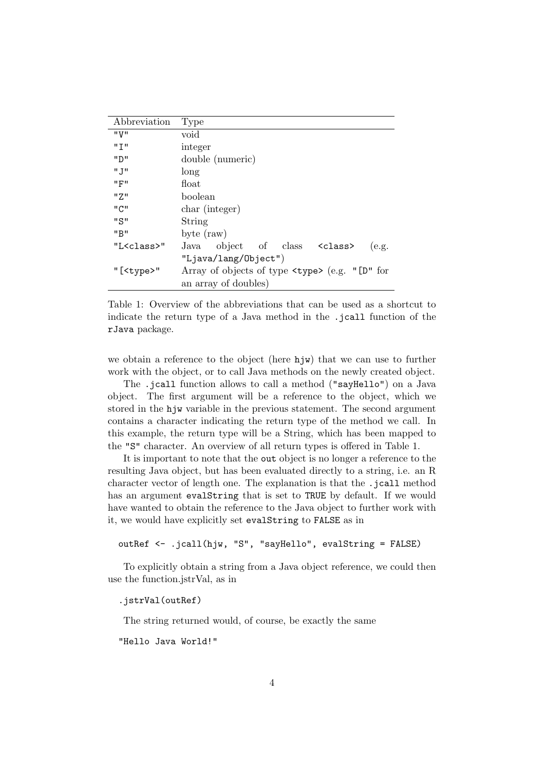| Abbreviation        | <b>Type</b>                                                    |
|---------------------|----------------------------------------------------------------|
| "V"                 | void                                                           |
| יי ד יי             | integer                                                        |
| יי חיי              | double (numeric)                                               |
| "J"                 | long                                                           |
| "F"                 | float                                                          |
| " 7."               | boolean                                                        |
| "C"                 | char (integer)                                                 |
| "S"                 | String                                                         |
| "B"                 | byte $(\text{raw})$                                            |
| "L <class>"</class> | Java object of class <class><br/>(e.g.</class>                 |
|                     | "Ljava/lang/Object")                                           |
| "[ <type>"</type>   | Array of objects of type $\times$ type $\times$ (e.g. "[D" for |
|                     | an array of doubles)                                           |

Table 1: Overview of the abbreviations that can be used as a shortcut to indicate the return type of a Java method in the .jcall function of the rJava package.

we obtain a reference to the object (here hjw) that we can use to further work with the object, or to call Java methods on the newly created object.

The .jcall function allows to call a method ("sayHello") on a Java object. The first argument will be a reference to the object, which we stored in the hjw variable in the previous statement. The second argument contains a character indicating the return type of the method we call. In this example, the return type will be a String, which has been mapped to the "S" character. An overview of all return types is offered in Table 1.

It is important to note that the out object is no longer a reference to the resulting Java object, but has been evaluated directly to a string, i.e. an R character vector of length one. The explanation is that the .jcall method has an argument evalString that is set to TRUE by default. If we would have wanted to obtain the reference to the Java object to further work with it, we would have explicitly set evalString to FALSE as in

outRef <- .jcall(hjw, "S", "sayHello", evalString = FALSE)

To explicitly obtain a string from a Java object reference, we could then use the function.jstrVal, as in

#### .jstrVal(outRef)

The string returned would, of course, be exactly the same

"Hello Java World!"